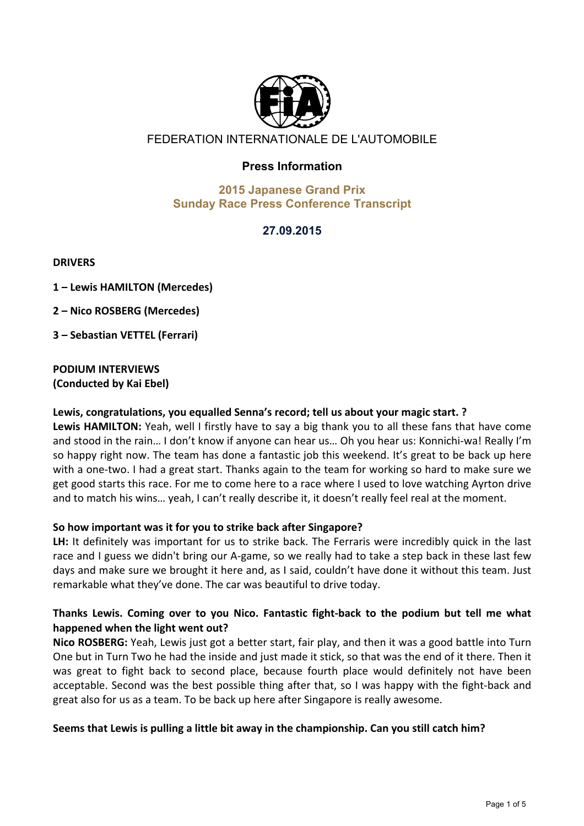

# FEDERATION INTERNATIONALE DE L'AUTOMOBILE

# **Press Information**

#### **2015 Japanese Grand Prix Sunday Race Press Conference Transcript**

# **27.09.2015**

**DRIVERS**

**1'– Lewis'HAMILTON'(Mercedes)**

**2'– Nico'ROSBERG'(Mercedes)**

**3'– Sebastian'VETTEL'(Ferrari)**

#### **PODIUM'INTERVIEWS (Conducted'by'Kai'Ebel)'**

#### Lewis, congratulations, you equalled Senna's record; tell us about your magic start. ?

Lewis HAMILTON: Yeah, well I firstly have to say a big thank you to all these fans that have come and stood in the rain... I don't know if anyone can hear us... Oh you hear us: Konnichi-wa! Really I'm so happy right now. The team has done a fantastic job this weekend. It's great to be back up here with a one-two. I had a great start. Thanks again to the team for working so hard to make sure we get good starts this race. For me to come here to a race where I used to love watching Ayrton drive and to match his wins... yeah, I can't really describe it, it doesn't really feel real at the moment.

#### So how important was it for you to strike back after Singapore?

LH: It definitely was important for us to strike back. The Ferraris were incredibly quick in the last race and I guess we didn't bring our A-game, so we really had to take a step back in these last few days and make sure we brought it here and, as I said, couldn't have done it without this team. Just remarkable what they've done. The car was beautiful to drive today.

# Thanks Lewis. Coming over to you Nico. Fantastic fight-back to the podium but tell me what happened when the light went out?

Nico ROSBERG: Yeah, Lewis just got a better start, fair play, and then it was a good battle into Turn One but in Turn Two he had the inside and just made it stick, so that was the end of it there. Then it was great to fight back to second place, because fourth place would definitely not have been acceptable. Second was the best possible thing after that, so I was happy with the fight-back and great also for us as a team. To be back up here after Singapore is really awesome.

#### Seems that Lewis is pulling a little bit away in the championship. Can you still catch him?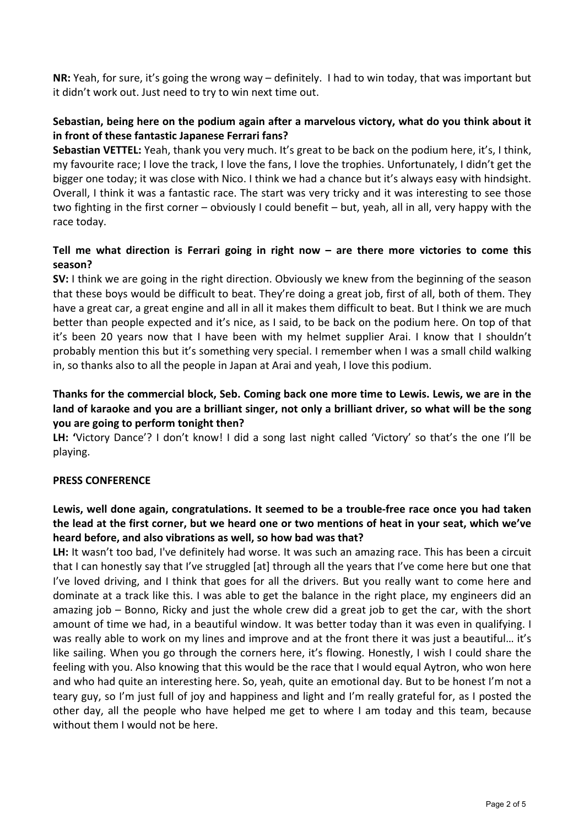**NR:** Yeah, for sure, it's going the wrong way – definitely. I had to win today, that was important but it didn't work out. Just need to try to win next time out.

## Sebastian, being here on the podium again after a marvelous victory, what do you think about it **in'front'of'these'fantastic'Japanese'Ferrari'fans?**

**Sebastian VETTEL:** Yeah, thank you very much. It's great to be back on the podium here, it's, I think, my favourite race; I love the track, I love the fans, I love the trophies. Unfortunately, I didn't get the bigger one today; it was close with Nico. I think we had a chance but it's always easy with hindsight. Overall, I think it was a fantastic race. The start was very tricky and it was interesting to see those two fighting in the first corner – obviously I could benefit – but, yeah, all in all, very happy with the race today.

#### Tell me what direction is Ferrari going in right now - are there more victories to come this **season?**

**SV:** I think we are going in the right direction. Obviously we knew from the beginning of the season that these boys would be difficult to beat. They're doing a great job, first of all, both of them. They have a great car, a great engine and all in all it makes them difficult to beat. But I think we are much better than people expected and it's nice, as I said, to be back on the podium here. On top of that it's been 20 years now that I have been with my helmet supplier Arai. I know that I shouldn't probably mention this but it's something very special. I remember when I was a small child walking in, so thanks also to all the people in Japan at Arai and yeah, I love this podium.

## Thanks for the commercial block, Seb. Coming back one more time to Lewis. Lewis, we are in the land of karaoke and you are a brilliant singer, not only a brilliant driver, so what will be the song **you'are'going'to'perform'tonight'then?'**

LH: 'Victory Dance'? I don't know! I did a song last night called 'Victory' so that's the one I'll be playing.

## **PRESS'CONFERENCE**

# Lewis, well done again, congratulations. It seemed to be a trouble-free race once you had taken **the'lead'at'the'first'corner,'but'we'heard'one'or'two'mentions'of'heat'in'your'seat,'which'we've'** heard before, and also vibrations as well, so how bad was that?

LH: It wasn't too bad, I've definitely had worse. It was such an amazing race. This has been a circuit that I can honestly say that I've struggled [at] through all the years that I've come here but one that I've loved driving, and I think that goes for all the drivers. But you really want to come here and dominate at a track like this. I was able to get the balance in the right place, my engineers did an amazing job – Bonno, Ricky and just the whole crew did a great job to get the car, with the short amount of time we had, in a beautiful window. It was better today than it was even in qualifying. I was really able to work on my lines and improve and at the front there it was just a beautiful... it's like sailing. When you go through the corners here, it's flowing. Honestly, I wish I could share the feeling with you. Also knowing that this would be the race that I would equal Aytron, who won here and who had quite an interesting here. So, yeah, quite an emotional day. But to be honest I'm not a teary guy, so I'm just full of joy and happiness and light and I'm really grateful for, as I posted the other day, all the people who have helped me get to where I am today and this team, because without them I would not be here.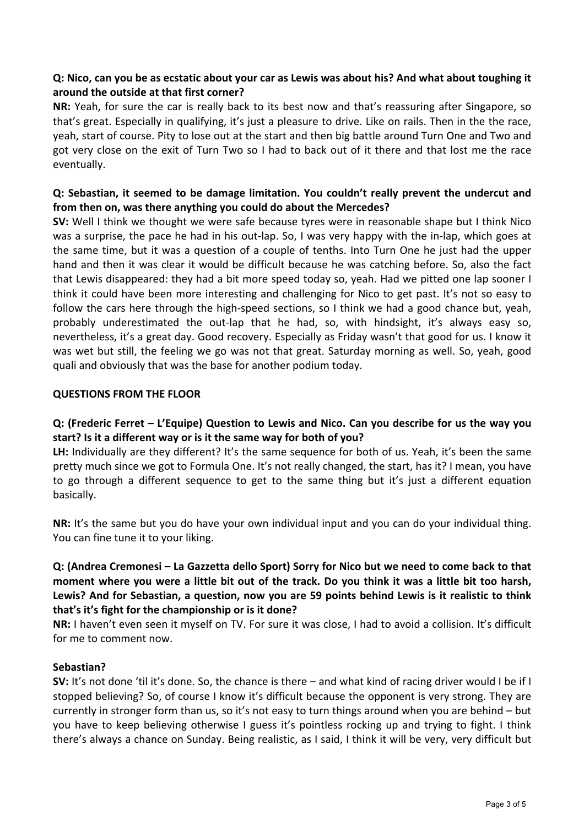## **Q:'Nico,'can'you'be'as'ecstatic about'your'car'as'Lewis'was'about'his?'And'what'about'toughing'it'** around the outside at that first corner?

**NR:** Yeah, for sure the car is really back to its best now and that's reassuring after Singapore, so that's great. Especially in qualifying, it's just a pleasure to drive. Like on rails. Then in the the race, yeah, start of course. Pity to lose out at the start and then big battle around Turn One and Two and got very close on the exit of Turn Two so I had to back out of it there and that lost me the race eventually.

## **Q: Sebastian, it seemed to be damage limitation. You couldn't really prevent the undercut and** from then on, was there anything you could do about the Mercedes?

**SV:** Well I think we thought we were safe because tyres were in reasonable shape but I think Nico was a surprise, the pace he had in his out-lap. So, I was very happy with the in-lap, which goes at the same time, but it was a question of a couple of tenths. Into Turn One he just had the upper hand and then it was clear it would be difficult because he was catching before. So, also the fact that Lewis disappeared: they had a bit more speed today so, yeah. Had we pitted one lap sooner I think it could have been more interesting and challenging for Nico to get past. It's not so easy to follow the cars here through the high-speed sections, so I think we had a good chance but, yeah, probably underestimated the out-lap that he had, so, with hindsight, it's always easy so, nevertheless, it's a great day. Good recovery. Especially as Friday wasn't that good for us. I know it was wet but still, the feeling we go was not that great. Saturday morning as well. So, yeah, good quali and obviously that was the base for another podium today.

## **QUESTIONS FROM THE FLOOR**

# **Q: (Frederic'Ferret'– L'Equipe)'Question'to'Lewis'and'Nico.'Can'you'describe'for'us'the'way'you'** start? Is it a different way or is it the same way for both of you?

LH: Individually are they different? It's the same sequence for both of us. Yeah, it's been the same pretty much since we got to Formula One. It's not really changed, the start, has it? I mean, you have to go through a different sequence to get to the same thing but it's just a different equation basically.

**NR:** It's the same but you do have your own individual input and you can do your individual thing. You can fine tune it to your liking.

# **Q:'(Andrea'Cremonesi'– La'Gazzetta'dello'Sport)'Sorry'for'Nico'but'we'need'to'come'back'to'that'** moment where you were a little bit out of the track. Do you think it was a little bit too harsh, Lewis? And for Sebastian, a question, now you are 59 points behind Lewis is it realistic to think that's it's fight for the championship or is it done?

**NR:** I haven't even seen it myself on TV. For sure it was close, I had to avoid a collision. It's difficult for me to comment now.

## **Sebastian?**

**SV:** It's not done 'til it's done. So, the chance is there – and what kind of racing driver would I be if I stopped believing? So, of course I know it's difficult because the opponent is very strong. They are currently in stronger form than us, so it's not easy to turn things around when you are behind – but you have to keep believing otherwise I guess it's pointless rocking up and trying to fight. I think there's always a chance on Sunday. Being realistic, as I said, I think it will be very, very difficult but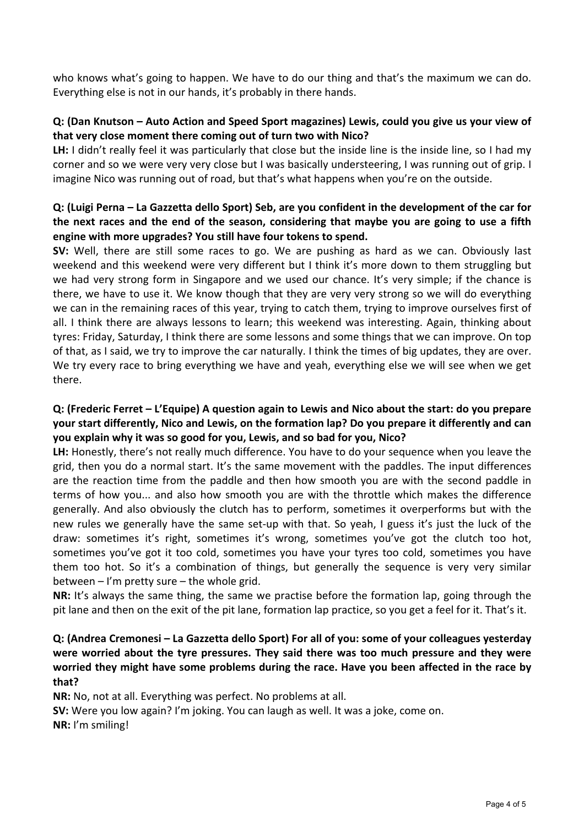who knows what's going to happen. We have to do our thing and that's the maximum we can do. Everything else is not in our hands, it's probably in there hands.

## **Q: (Dan Knutson – Auto Action and Speed Sport magazines) Lewis, could you give us your view of** that very close moment there coming out of turn two with Nico?

LH: I didn't really feel it was particularly that close but the inside line is the inside line, so I had my corner and so we were very very close but I was basically understeering, I was running out of grip. I imagine Nico was running out of road, but that's what happens when you're on the outside.

# **Q: (Luigi Perna – La Gazzetta dello Sport) Seb, are you confident in the development of the car for** the next races and the end of the season, considering that maybe you are going to use a fifth **engine'with'more'upgrades?'You'still'have'four'tokens'to'spend.'**

**SV:** Well, there are still some races to go. We are pushing as hard as we can. Obviously last weekend and this weekend were very different but I think it's more down to them struggling but we had very strong form in Singapore and we used our chance. It's very simple; if the chance is there, we have to use it. We know though that they are very very strong so we will do everything we can in the remaining races of this year, trying to catch them, trying to improve ourselves first of all. I think there are always lessons to learn; this weekend was interesting. Again, thinking about tyres: Friday, Saturday, I think there are some lessons and some things that we can improve. On top of that, as I said, we try to improve the car naturally. I think the times of big updates, they are over. We try every race to bring everything we have and yeah, everything else we will see when we get there.

#### **Q:'(Frederic'Ferret'– L'Equipe)'A'question'again'to'Lewis'and'Nico'about'the'start:'do'you'prepare'** your start differently, Nico and Lewis, on the formation lap? Do you prepare it differently and can **you'explain'why'it'was'so'good for'you,'Lewis,'and'so'bad'for'you,'Nico?'**

LH: Honestly, there's not really much difference. You have to do your sequence when you leave the grid, then you do a normal start. It's the same movement with the paddles. The input differences are the reaction time from the paddle and then how smooth you are with the second paddle in terms of how you... and also how smooth you are with the throttle which makes the difference generally. And also obviously the clutch has to perform, sometimes it overperforms but with the new rules we generally have the same set-up with that. So yeah, I guess it's just the luck of the draw: sometimes it's right, sometimes it's wrong, sometimes you've got the clutch too hot, sometimes you've got it too cold, sometimes you have your tyres too cold, sometimes you have them too hot. So it's a combination of things, but generally the sequence is very very similar between – I'm pretty sure – the whole grid.

**NR:** It's always the same thing, the same we practise before the formation lap, going through the pit lane and then on the exit of the pit lane, formation lap practice, so you get a feel for it. That's it.

# **Q:'(Andrea'Cremonesi'– La'Gazzetta'dello'Sport)'For'all'of'you:'some'of'your'colleagues'yesterday'** were worried about the tyre pressures. They said there was too much pressure and they were worried they might have some problems during the race. Have you been affected in the race by **that?'**

**NR:** No, not at all. Everything was perfect. No problems at all.

**SV:** Were you low again? I'm joking. You can laugh as well. It was a joke, come on.

**NR:** I'm smiling!